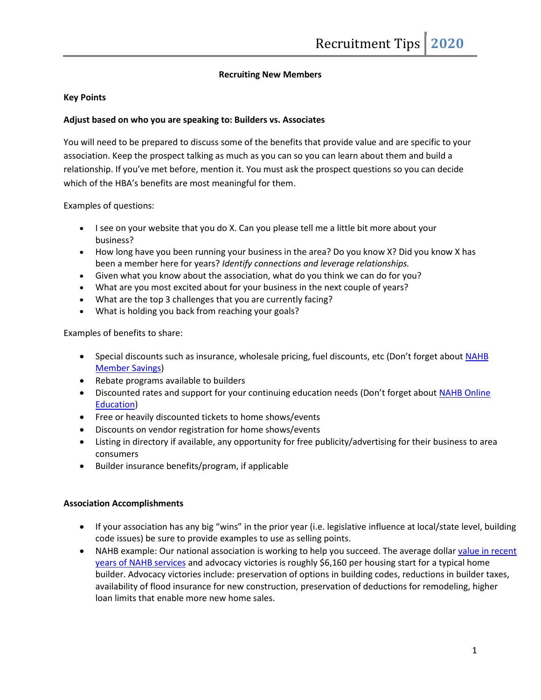## **Recruiting New Members**

### **Key Points**

### **Adjust based on who you are speaking to: Builders vs. Associates**

You will need to be prepared to discuss some of the benefits that provide value and are specific to your association. Keep the prospect talking as much as you can so you can learn about them and build a relationship. If you've met before, mention it. You must ask the prospect questions so you can decide which of the HBA's benefits are most meaningful for them.

Examples of questions:

- I see on your website that you do X. Can you please tell me a little bit more about your business?
- How long have you been running your business in the area? Do you know X? Did you know X has been a member here for years? *Identify connections and leverage relationships.*
- Given what you know about the association, what do you think we can do for you?
- What are you most excited about for your business in the next couple of years?
- What are the top 3 challenges that you are currently facing?
- What is holding you back from reaching your goals?

Examples of benefits to share:

- Special discounts such as insurance, wholesale pricing, fuel discounts, etc (Don't forget about NAHB [Member Savings\)](http://www.nahb.org/savings)
- Rebate programs available to builders
- Discounted rates and support for your continuing education needs (Don't forget about NAHB [Online](https://elearning.nahb.org/webinars) [Education\)](https://elearning.nahb.org/webinars)
- Free or heavily discounted tickets to home shows/events
- Discounts on vendor registration for home shows/events
- Listing in directory if available, any opportunity for free publicity/advertising for their business to area consumers
- Builder insurance benefits/program, if applicable

#### **Association Accomplishments**

- If your association has any big "wins" in the prior year (i.e. legislative influence at local/state level, building code issues) be sure to provide examples to use as selling points.
- NAHB example: Our national association is working to help you succeed. The average dollar value in recent [years of NAHB services](http://www.valueofnahb.org/) and advocacy victories is roughly \$6,160 per housing start for a typical home builder. Advocacy victories include: preservation of options in building codes, reductions in builder taxes, availability of flood insurance for new construction, preservation of deductions for remodeling, higher loan limits that enable more new home sales.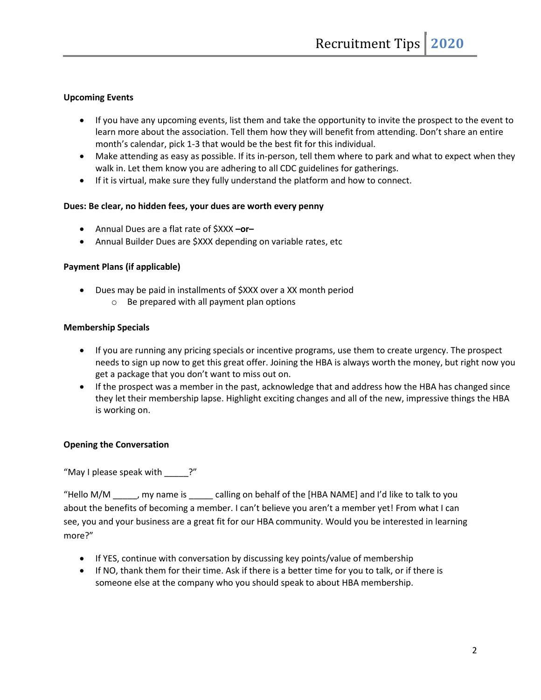## **Upcoming Events**

- If you have any upcoming events, list them and take the opportunity to invite the prospect to the event to learn more about the association. Tell them how they will benefit from attending. Don't share an entire month's calendar, pick 1-3 that would be the best fit for this individual.
- Make attending as easy as possible. If its in-person, tell them where to park and what to expect when they walk in. Let them know you are adhering to all CDC guidelines for gatherings.
- If it is virtual, make sure they fully understand the platform and how to connect.

## **Dues: Be clear, no hidden fees, your dues are worth every penny**

- Annual Dues are a flat rate of \$XXX **–or–**
- Annual Builder Dues are \$XXX depending on variable rates, etc

## **Payment Plans (if applicable)**

- Dues may be paid in installments of \$XXX over a XX month period
	- o Be prepared with all payment plan options

## **Membership Specials**

- If you are running any pricing specials or incentive programs, use them to create urgency. The prospect needs to sign up now to get this great offer. Joining the HBA is always worth the money, but right now you get a package that you don't want to miss out on.
- If the prospect was a member in the past, acknowledge that and address how the HBA has changed since they let their membership lapse. Highlight exciting changes and all of the new, impressive things the HBA is working on.

## **Opening the Conversation**

"May I please speak with ?"

"Hello M/M \_\_\_\_\_, my name is \_\_\_\_\_ calling on behalf of the [HBA NAME] and I'd like to talk to you about the benefits of becoming a member. I can't believe you aren't a member yet! From what I can see, you and your business are a great fit for our HBA community. Would you be interested in learning more?"

- If YES, continue with conversation by discussing key points/value of membership
- If NO, thank them for their time. Ask if there is a better time for you to talk, or if there is someone else at the company who you should speak to about HBA membership.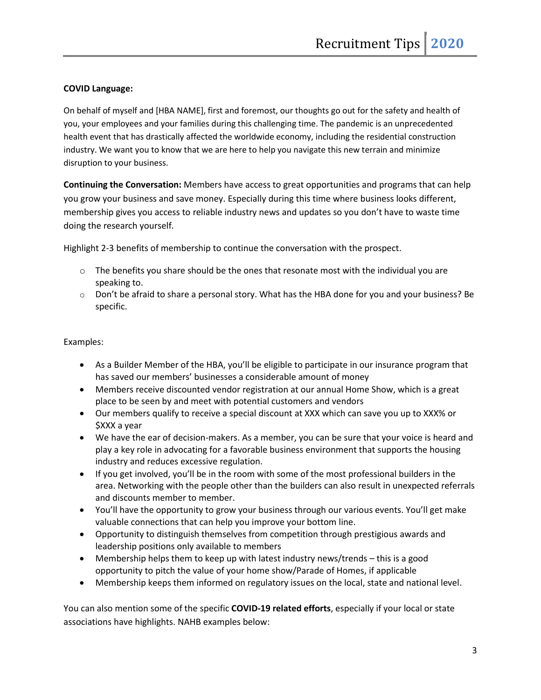## **COVID Language:**

On behalf of myself and [HBA NAME], first and foremost, our thoughts go out for the safety and health of you, your employees and your families during this challenging time. The pandemic is an unprecedented health event that has drastically affected the worldwide economy, including the residential construction industry. We want you to know that we are here to help you navigate this new terrain and minimize disruption to your business.

**Continuing the Conversation:** Members have access to great opportunities and programs that can help you grow your business and save money. Especially during this time where business looks different, membership gives you access to reliable industry news and updates so you don't have to waste time doing the research yourself.

Highlight 2-3 benefits of membership to continue the conversation with the prospect.

- $\circ$  The benefits you share should be the ones that resonate most with the individual you are speaking to.
- $\circ$  Don't be afraid to share a personal story. What has the HBA done for you and your business? Be specific.

## Examples:

- As a Builder Member of the HBA, you'll be eligible to participate in our insurance program that has saved our members' businesses a considerable amount of money
- Members receive discounted vendor registration at our annual Home Show, which is a great place to be seen by and meet with potential customers and vendors
- Our members qualify to receive a special discount at XXX which can save you up to XXX% or \$XXX a year
- We have the ear of decision-makers. As a member, you can be sure that your voice is heard and play a key role in advocating for a favorable business environment that supports the housing industry and reduces excessive regulation.
- If you get involved, you'll be in the room with some of the most professional builders in the area. Networking with the people other than the builders can also result in unexpected referrals and discounts member to member.
- You'll have the opportunity to grow your business through our various events. You'll get make valuable connections that can help you improve your bottom line.
- Opportunity to distinguish themselves from competition through prestigious awards and leadership positions only available to members
- Membership helps them to keep up with latest industry news/trends this is a good opportunity to pitch the value of your home show/Parade of Homes, if applicable
- Membership keeps them informed on regulatory issues on the local, state and national level.

You can also mention some of the specific **COVID-19 related efforts**, especially if your local or state associations have highlights. NAHB examples below: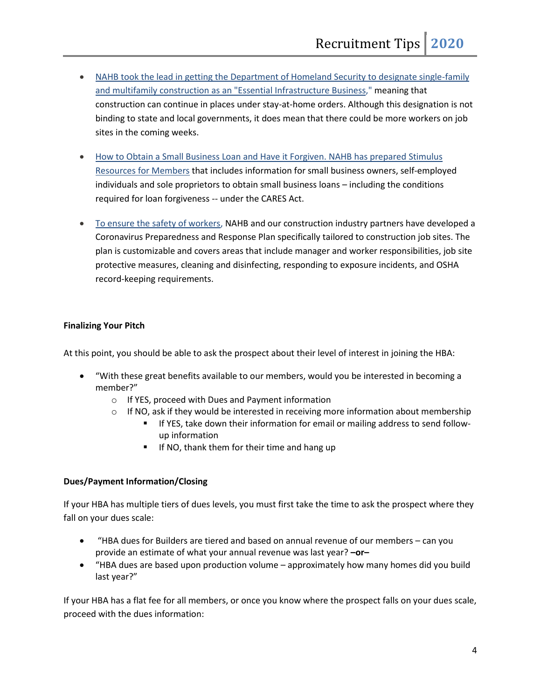- NAHB took the lead in getting the Department of Homeland Security to designate single-family [and multifamily construction as an "Essential Infrastructure Business,](https://urldefense.proofpoint.com/v2/url?u=http-3A__www.mmsend26.com_link.cfm-3Fr-3DSYI8Swe1zIW5-5FZ7QhpWkHA-7E-7E-26pe-3Dy9kRNn2uy8GnIeTkaLD-2DSWeEb34EsrC5-2DXgsJ1Fcg7rueQ5tYhmJJh2bcpmu7P5xS9vt5yVO-5F8ypKYax2FMrHQ-7E-7E-26t-3DkfAA3fuvQD3Lh9hZR-5FREPg-7E-7E&d=DwMFAw&c=hCLxfJq9j_r9eaDl3ZiMkA&r=0fsocV7I4_rieNBLAx7Buv1Wek2Bk_Afp8q2weoOXdU&m=3Dxn6gDjLacFFKB23UU1vjTn2kBOOqkICRaqW9Ha_PU&s=ApQfHQSHYyxrp2i1wtuSMcg8vbZIm9BLH0F83c8nLTw&e=)" meaning that construction can continue in places under stay-at-home orders. Although this designation is not binding to state and local governments, it does mean that there could be more workers on job sites in the coming weeks.
- [How to Obtain a Small Business Loan and Have it Forgiven. NAHB has prepared](https://urldefense.proofpoint.com/v2/url?u=http-3A__www.mmsend26.com_link.cfm-3Fr-3DSYI8Swe1zIW5-5FZ7QhpWkHA-7E-7E-26pe-3DrJ6H2D5jIpN7oR62ELMqZ45Qv5c1uDLYphv9Lw9aj-5FqucSxFAZJk4IhJ47NE7zJ2rbbMPycLABNdW8R3QHwwhQ-7E-7E-26t-3DkfAA3fuvQD3Lh9hZR-5FREPg-7E-7E&d=DwMFAw&c=hCLxfJq9j_r9eaDl3ZiMkA&r=0fsocV7I4_rieNBLAx7Buv1Wek2Bk_Afp8q2weoOXdU&m=3Dxn6gDjLacFFKB23UU1vjTn2kBOOqkICRaqW9Ha_PU&s=nnoAPzJAjFACHE9-y9kCYdz15ryokidGbPdGjD3a0X0&e=) Stimulus [Resources for Members](https://urldefense.proofpoint.com/v2/url?u=http-3A__www.mmsend26.com_link.cfm-3Fr-3DSYI8Swe1zIW5-5FZ7QhpWkHA-7E-7E-26pe-3DrJ6H2D5jIpN7oR62ELMqZ45Qv5c1uDLYphv9Lw9aj-5FqucSxFAZJk4IhJ47NE7zJ2rbbMPycLABNdW8R3QHwwhQ-7E-7E-26t-3DkfAA3fuvQD3Lh9hZR-5FREPg-7E-7E&d=DwMFAw&c=hCLxfJq9j_r9eaDl3ZiMkA&r=0fsocV7I4_rieNBLAx7Buv1Wek2Bk_Afp8q2weoOXdU&m=3Dxn6gDjLacFFKB23UU1vjTn2kBOOqkICRaqW9Ha_PU&s=nnoAPzJAjFACHE9-y9kCYdz15ryokidGbPdGjD3a0X0&e=) that includes information for small business owners, self-employed individuals and sole proprietors to obtain small business loans – including the conditions required for loan forgiveness -- under the CARES Act.
- [To ensure the safety of workers,](https://urldefense.proofpoint.com/v2/url?u=http-3A__www.mmsend26.com_link.cfm-3Fr-3DSYI8Swe1zIW5-5FZ7QhpWkHA-7E-7E-26pe-3Dukp-5FcIy-2DrvpEAHnI-2DHYnjl7PA7P3w4xXoy-2DEr-2DcUy3SlIDIzyTaMIiT2tLYpeYl5q1XGaxMz2nMT7pmkbxGBiA-7E-7E-26t-3DkfAA3fuvQD3Lh9hZR-5FREPg-7E-7E&d=DwMFAw&c=hCLxfJq9j_r9eaDl3ZiMkA&r=0fsocV7I4_rieNBLAx7Buv1Wek2Bk_Afp8q2weoOXdU&m=3Dxn6gDjLacFFKB23UU1vjTn2kBOOqkICRaqW9Ha_PU&s=z_IFu7GRr5hT2qdyw8pK21cILXiF7X2TGE0OsL6vvcs&e=) NAHB and our construction industry partners have developed a Coronavirus Preparedness and Response Plan specifically tailored to construction job sites. The plan is customizable and covers areas that include manager and worker responsibilities, job site protective measures, cleaning and disinfecting, responding to exposure incidents, and OSHA record-keeping requirements.

## **Finalizing Your Pitch**

At this point, you should be able to ask the prospect about their level of interest in joining the HBA:

- "With these great benefits available to our members, would you be interested in becoming a member?"
	- o If YES, proceed with Dues and Payment information
	- $\circ$  If NO, ask if they would be interested in receiving more information about membership
		- If YES, take down their information for email or mailing address to send followup information
		- If NO, thank them for their time and hang up

## **Dues/Payment Information/Closing**

If your HBA has multiple tiers of dues levels, you must first take the time to ask the prospect where they fall on your dues scale:

- "HBA dues for Builders are tiered and based on annual revenue of our members can you provide an estimate of what your annual revenue was last year? **–or–**
- "HBA dues are based upon production volume approximately how many homes did you build last year?"

If your HBA has a flat fee for all members, or once you know where the prospect falls on your dues scale, proceed with the dues information: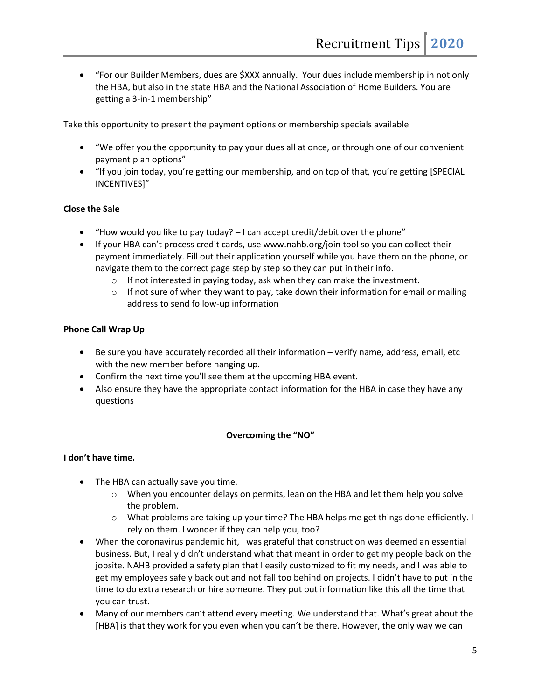• "For our Builder Members, dues are \$XXX annually. Your dues include membership in not only the HBA, but also in the state HBA and the National Association of Home Builders. You are getting a 3-in-1 membership"

Take this opportunity to present the payment options or membership specials available

- "We offer you the opportunity to pay your dues all at once, or through one of our convenient payment plan options"
- "If you join today, you're getting our membership, and on top of that, you're getting [SPECIAL INCENTIVES]"

## **Close the Sale**

- "How would you like to pay today? I can accept credit/debit over the phone"
- If your HBA can't process credit cards, use www.nahb.org/join tool so you can collect their payment immediately. Fill out their application yourself while you have them on the phone, or navigate them to the correct page step by step so they can put in their info.
	- o If not interested in paying today, ask when they can make the investment.
	- $\circ$  If not sure of when they want to pay, take down their information for email or mailing address to send follow-up information

## **Phone Call Wrap Up**

- Be sure you have accurately recorded all their information verify name, address, email, etc with the new member before hanging up.
- Confirm the next time you'll see them at the upcoming HBA event.
- Also ensure they have the appropriate contact information for the HBA in case they have any questions

## **Overcoming the "NO"**

## **I don't have time.**

- The HBA can actually save you time.
	- $\circ$  When you encounter delays on permits, lean on the HBA and let them help you solve the problem.
	- o What problems are taking up your time? The HBA helps me get things done efficiently. I rely on them. I wonder if they can help you, too?
- When the coronavirus pandemic hit, I was grateful that construction was deemed an essential business. But, I really didn't understand what that meant in order to get my people back on the jobsite. NAHB provided a safety plan that I easily customized to fit my needs, and I was able to get my employees safely back out and not fall too behind on projects. I didn't have to put in the time to do extra research or hire someone. They put out information like this all the time that you can trust.
- Many of our members can't attend every meeting. We understand that. What's great about the [HBA] is that they work for you even when you can't be there. However, the only way we can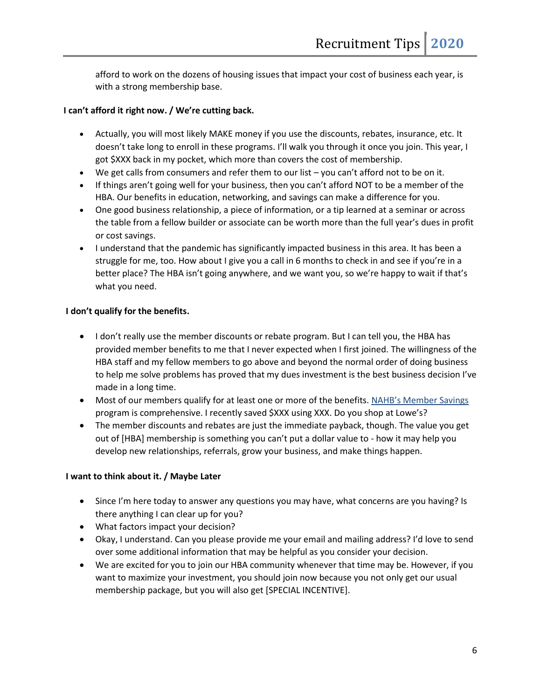afford to work on the dozens of housing issues that impact your cost of business each year, is with a strong membership base.

## **I can't afford it right now. / We're cutting back.**

- Actually, you will most likely MAKE money if you use the discounts, rebates, insurance, etc. It doesn't take long to enroll in these programs. I'll walk you through it once you join. This year, I got \$XXX back in my pocket, which more than covers the cost of membership.
- We get calls from consumers and refer them to our list you can't afford not to be on it.
- If things aren't going well for your business, then you can't afford NOT to be a member of the HBA. Our benefits in education, networking, and savings can make a difference for you.
- One good business relationship, a piece of information, or a tip learned at a seminar or across the table from a fellow builder or associate can be worth more than the full year's dues in profit or cost savings.
- I understand that the pandemic has significantly impacted business in this area. It has been a struggle for me, too. How about I give you a call in 6 months to check in and see if you're in a better place? The HBA isn't going anywhere, and we want you, so we're happy to wait if that's what you need.

# **I don't qualify for the benefits.**

- I don't really use the member discounts or rebate program. But I can tell you, the HBA has provided member benefits to me that I never expected when I first joined. The willingness of the HBA staff and my fellow members to go above and beyond the normal order of doing business to help me solve problems has proved that my dues investment is the best business decision I've made in a long time.
- Most of our members qualify for at least one or more of the benefits. [NAHB's Member Savings](http://www.nahb.org/savings) program is comprehensive. I recently saved \$XXX using XXX. Do you shop at Lowe's?
- The member discounts and rebates are just the immediate payback, though. The value you get out of [HBA] membership is something you can't put a dollar value to - how it may help you develop new relationships, referrals, grow your business, and make things happen.

## **I want to think about it. / Maybe Later**

- Since I'm here today to answer any questions you may have, what concerns are you having? Is there anything I can clear up for you?
- What factors impact your decision?
- Okay, I understand. Can you please provide me your email and mailing address? I'd love to send over some additional information that may be helpful as you consider your decision.
- We are excited for you to join our HBA community whenever that time may be. However, if you want to maximize your investment, you should join now because you not only get our usual membership package, but you will also get [SPECIAL INCENTIVE].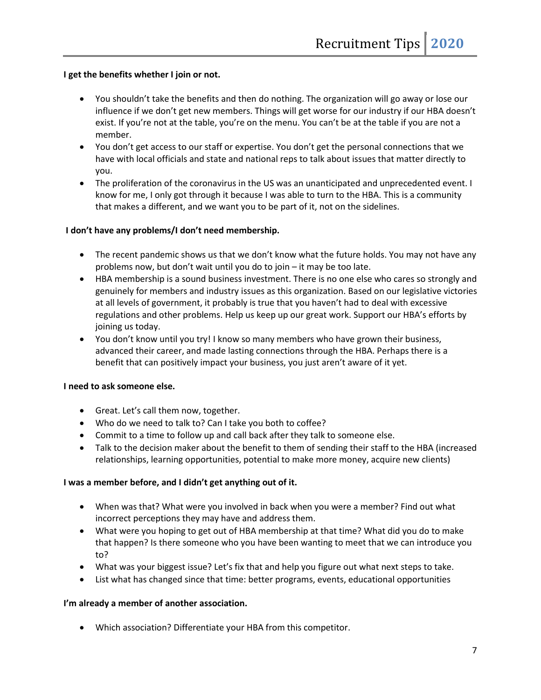### **I get the benefits whether I join or not.**

- You shouldn't take the benefits and then do nothing. The organization will go away or lose our influence if we don't get new members. Things will get worse for our industry if our HBA doesn't exist. If you're not at the table, you're on the menu. You can't be at the table if you are not a member.
- You don't get access to our staff or expertise. You don't get the personal connections that we have with local officials and state and national reps to talk about issues that matter directly to you.
- The proliferation of the coronavirus in the US was an unanticipated and unprecedented event. I know for me, I only got through it because I was able to turn to the HBA. This is a community that makes a different, and we want you to be part of it, not on the sidelines.

#### **I don't have any problems/I don't need membership.**

- The recent pandemic shows us that we don't know what the future holds. You may not have any problems now, but don't wait until you do to join – it may be too late.
- HBA membership is a sound business investment. There is no one else who cares so strongly and genuinely for members and industry issues as this organization. Based on our legislative victories at all levels of government, it probably is true that you haven't had to deal with excessive regulations and other problems. Help us keep up our great work. Support our HBA's efforts by joining us today.
- You don't know until you try! I know so many members who have grown their business, advanced their career, and made lasting connections through the HBA. Perhaps there is a benefit that can positively impact your business, you just aren't aware of it yet.

#### **I need to ask someone else.**

- Great. Let's call them now, together.
- Who do we need to talk to? Can I take you both to coffee?
- Commit to a time to follow up and call back after they talk to someone else.
- Talk to the decision maker about the benefit to them of sending their staff to the HBA (increased relationships, learning opportunities, potential to make more money, acquire new clients)

#### **I was a member before, and I didn't get anything out of it.**

- When was that? What were you involved in back when you were a member? Find out what incorrect perceptions they may have and address them.
- What were you hoping to get out of HBA membership at that time? What did you do to make that happen? Is there someone who you have been wanting to meet that we can introduce you to?
- What was your biggest issue? Let's fix that and help you figure out what next steps to take.
- List what has changed since that time: better programs, events, educational opportunities

#### **I'm already a member of another association.**

• Which association? Differentiate your HBA from this competitor.